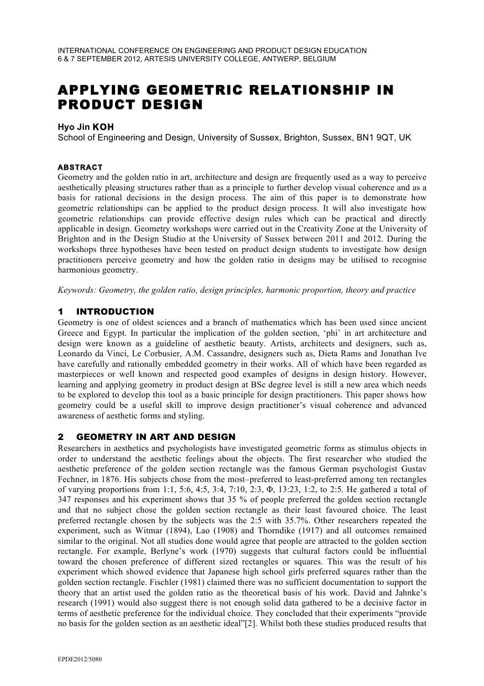# APPLYING GEOMETRIC RELATIONSHIP IN PRODUCT DESIGN

#### **Hyo Jin KOH**

School of Engineering and Design, University of Sussex, Brighton, Sussex, BN1 9QT, UK

#### **ABSTRACT**

Geometry and the golden ratio in art, architecture and design are frequently used as a way to perceive aesthetically pleasing structures rather than as a principle to further develop visual coherence and as a basis for rational decisions in the design process. The aim of this paper is to demonstrate how geometric relationships can be applied to the product design process. It will also investigate how geometric relationships can provide effective design rules which can be practical and directly applicable in design. Geometry workshops were carried out in the Creativity Zone at the University of Brighton and in the Design Studio at the University of Sussex between 2011 and 2012. During the workshops three hypotheses have been tested on product design students to investigate how design practitioners perceive geometry and how the golden ratio in designs may be utilised to recognise harmonious geometry.

*Keywords: Geometry, the golden ratio, design principles, harmonic proportion, theory and practice* 

#### 1 INTRODUCTION

Geometry is one of oldest sciences and a branch of mathematics which has been used since ancient Greece and Egypt. In particular the implication of the golden section, 'phi' in art architecture and design were known as a guideline of aesthetic beauty. Artists, architects and designers, such as, Leonardo da Vinci, Le Corbusier, A.M. Cassandre, designers such as, Dieta Rams and Jonathan Ive have carefully and rationally embedded geometry in their works. All of which have been regarded as masterpieces or well known and respected good examples of designs in design history. However, learning and applying geometry in product design at BSc degree level is still a new area which needs to be explored to develop this tool as a basic principle for design practitioners. This paper shows how geometry could be a useful skill to improve design practitioner's visual coherence and advanced awareness of aesthetic forms and styling.

#### 2 GEOMETRY IN ART AND DESIGN

Researchers in aesthetics and psychologists have investigated geometric forms as stimulus objects in order to understand the aesthetic feelings about the objects. The first researcher who studied the aesthetic preference of the golden section rectangle was the famous German psychologist Gustav Fechner, in 1876. His subjects chose from the most–preferred to least-preferred among ten rectangles of varying proportions from 1:1, 5:6, 4:5, 3:4, 7:10, 2:3, Φ, 13:23, 1:2, to 2:5. He gathered a total of 347 responses and his experiment shows that 35 % of people preferred the golden section rectangle and that no subject chose the golden section rectangle as their least favoured choice. The least preferred rectangle chosen by the subjects was the 2:5 with 35.7%. Other researchers repeated the experiment, such as Witmar (1894), Lao (1908) and Thorndike (1917) and all outcomes remained similar to the original. Not all studies done would agree that people are attracted to the golden section rectangle. For example, Berlyne's work (1970) suggests that cultural factors could be influential toward the chosen preference of different sized rectangles or squares. This was the result of his experiment which showed evidence that Japanese high school girls preferred squares rather than the golden section rectangle. Fischler (1981) claimed there was no sufficient documentation to support the theory that an artist used the golden ratio as the theoretical basis of his work. David and Jahnke's research (1991) would also suggest there is not enough solid data gathered to be a decisive factor in terms of aesthetic preference for the individual choice. They concluded that their experiments "provide no basis for the golden section as an aesthetic ideal"[2]. Whilst both these studies produced results that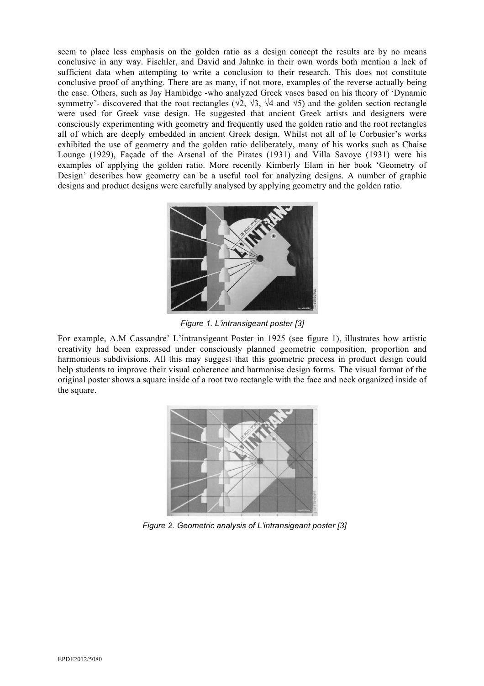seem to place less emphasis on the golden ratio as a design concept the results are by no means conclusive in any way. Fischler, and David and Jahnke in their own words both mention a lack of sufficient data when attempting to write a conclusion to their research. This does not constitute conclusive proof of anything. There are as many, if not more, examples of the reverse actually being the case. Others, such as Jay Hambidge -who analyzed Greek vases based on his theory of 'Dynamic symmetry'- discovered that the root rectangles ( $\sqrt{2}$ ,  $\sqrt{3}$ ,  $\sqrt{4}$  and  $\sqrt{5}$ ) and the golden section rectangle were used for Greek vase design. He suggested that ancient Greek artists and designers were consciously experimenting with geometry and frequently used the golden ratio and the root rectangles all of which are deeply embedded in ancient Greek design. Whilst not all of le Corbusier's works exhibited the use of geometry and the golden ratio deliberately, many of his works such as Chaise Lounge (1929), Façade of the Arsenal of the Pirates (1931) and Villa Savoye (1931) were his examples of applying the golden ratio. More recently Kimberly Elam in her book 'Geometry of Design' describes how geometry can be a useful tool for analyzing designs. A number of graphic designs and product designs were carefully analysed by applying geometry and the golden ratio.



*Figure 1. L'intransigeant poster [3]*

For example, A.M Cassandre' L'intransigeant Poster in 1925 (see figure 1), illustrates how artistic creativity had been expressed under consciously planned geometric composition, proportion and harmonious subdivisions. All this may suggest that this geometric process in product design could help students to improve their visual coherence and harmonise design forms. The visual format of the original poster shows a square inside of a root two rectangle with the face and neck organized inside of the square.



*Figure 2. Geometric analysis of L'intransigeant poster [3]*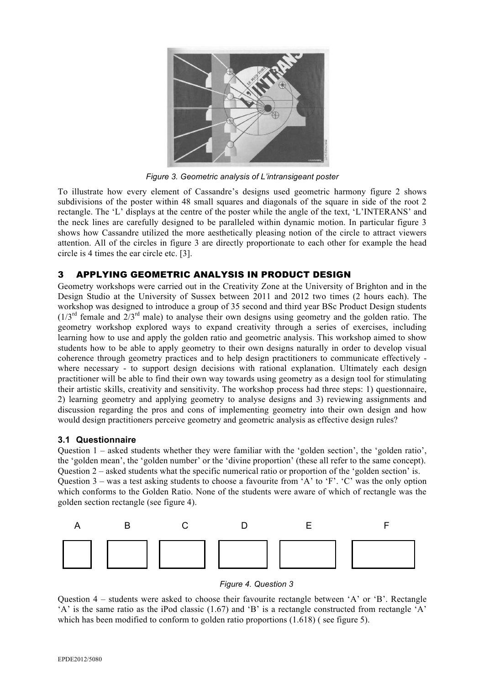

*Figure 3. Geometric analysis of L'intransigeant poster* 

To illustrate how every element of Cassandre's designs used geometric harmony figure 2 shows subdivisions of the poster within 48 small squares and diagonals of the square in side of the root 2 rectangle. The 'L' displays at the centre of the poster while the angle of the text, 'L'INTERANS' and the neck lines are carefully designed to be paralleled within dynamic motion. In particular figure 3 shows how Cassandre utilized the more aesthetically pleasing notion of the circle to attract viewers attention. All of the circles in figure 3 are directly proportionate to each other for example the head circle is 4 times the ear circle etc. [3].

#### 3 APPLYING GEOMETRIC ANALYSIS IN PRODUCT DESIGN

Geometry workshops were carried out in the Creativity Zone at the University of Brighton and in the Design Studio at the University of Sussex between 2011 and 2012 two times (2 hours each). The workshop was designed to introduce a group of 35 second and third year BSc Product Design students  $(1/3<sup>rd</sup>$  female and  $2/3<sup>rd</sup>$  male) to analyse their own designs using geometry and the golden ratio. The geometry workshop explored ways to expand creativity through a series of exercises, including learning how to use and apply the golden ratio and geometric analysis. This workshop aimed to show students how to be able to apply geometry to their own designs naturally in order to develop visual coherence through geometry practices and to help design practitioners to communicate effectively where necessary - to support design decisions with rational explanation. Ultimately each design practitioner will be able to find their own way towards using geometry as a design tool for stimulating their artistic skills, creativity and sensitivity. The workshop process had three steps: 1) questionnaire, 2) learning geometry and applying geometry to analyse designs and 3) reviewing assignments and discussion regarding the pros and cons of implementing geometry into their own design and how would design practitioners perceive geometry and geometric analysis as effective design rules?

#### **3.1 Questionnaire**

Question 1 – asked students whether they were familiar with the 'golden section', the 'golden ratio', the 'golden mean', the 'golden number' or the 'divine proportion' (these all refer to the same concept). Question 2 – asked students what the specific numerical ratio or proportion of the 'golden section' is. Question 3 – was a test asking students to choose a favourite from 'A' to 'F'. 'C' was the only option which conforms to the Golden Ratio. None of the students were aware of which of rectangle was the golden section rectangle (see figure 4).





Question 4 – students were asked to choose their favourite rectangle between 'A' or 'B'. Rectangle 'A' is the same ratio as the iPod classic (1.67) and 'B' is a rectangle constructed from rectangle 'A' which has been modified to conform to golden ratio proportions  $(1.618)$  (see figure 5).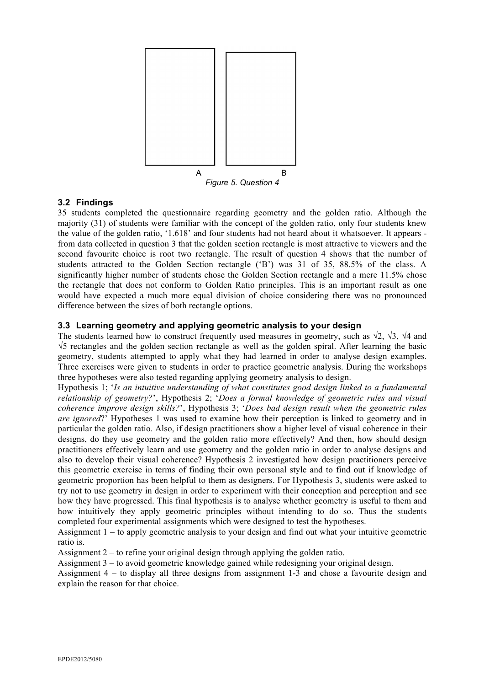

# **3.2 Findings**

35 students completed the questionnaire regarding geometry and the golden ratio. Although the majority (31) of students were familiar with the concept of the golden ratio, only four students knew the value of the golden ratio, '1.618' and four students had not heard about it whatsoever. It appears from data collected in question 3 that the golden section rectangle is most attractive to viewers and the second favourite choice is root two rectangle. The result of question 4 shows that the number of students attracted to the Golden Section rectangle ('B') was 31 of 35, 88.5% of the class. A significantly higher number of students chose the Golden Section rectangle and a mere 11.5% chose the rectangle that does not conform to Golden Ratio principles. This is an important result as one would have expected a much more equal division of choice considering there was no pronounced difference between the sizes of both rectangle options.

# **3.3 Learning geometry and applying geometric analysis to your design**

The students learned how to construct frequently used measures in geometry, such as  $\sqrt{2}$ ,  $\sqrt{3}$ ,  $\sqrt{4}$  and √5 rectangles and the golden section rectangle as well as the golden spiral. After learning the basic geometry, students attempted to apply what they had learned in order to analyse design examples. Three exercises were given to students in order to practice geometric analysis. During the workshops three hypotheses were also tested regarding applying geometry analysis to design.

Hypothesis 1; '*Is an intuitive understanding of what constitutes good design linked to a fundamental relationship of geometry?*', Hypothesis 2; '*Does a formal knowledge of geometric rules and visual coherence improve design skills?*', Hypothesis 3; '*Does bad design result when the geometric rules are ignored*?' Hypotheses 1 was used to examine how their perception is linked to geometry and in particular the golden ratio. Also, if design practitioners show a higher level of visual coherence in their designs, do they use geometry and the golden ratio more effectively? And then, how should design practitioners effectively learn and use geometry and the golden ratio in order to analyse designs and also to develop their visual coherence? Hypothesis 2 investigated how design practitioners perceive this geometric exercise in terms of finding their own personal style and to find out if knowledge of geometric proportion has been helpful to them as designers. For Hypothesis 3, students were asked to try not to use geometry in design in order to experiment with their conception and perception and see how they have progressed. This final hypothesis is to analyse whether geometry is useful to them and how intuitively they apply geometric principles without intending to do so. Thus the students completed four experimental assignments which were designed to test the hypotheses.

Assignment 1 – to apply geometric analysis to your design and find out what your intuitive geometric ratio is.

Assignment 2 – to refine your original design through applying the golden ratio.

Assignment 3 – to avoid geometric knowledge gained while redesigning your original design.

Assignment 4 – to display all three designs from assignment 1-3 and chose a favourite design and explain the reason for that choice.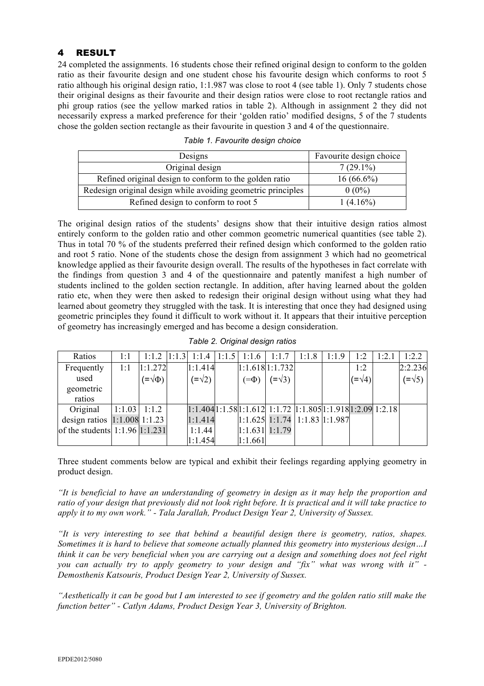# 4 RESULT

24 completed the assignments. 16 students chose their refined original design to conform to the golden ratio as their favourite design and one student chose his favourite design which conforms to root 5 ratio although his original design ratio, 1:1.987 was close to root 4 (see table 1). Only 7 students chose their original designs as their favourite and their design ratios were close to root rectangle ratios and phi group ratios (see the yellow marked ratios in table 2). Although in assignment 2 they did not necessarily express a marked preference for their 'golden ratio' modified designs, 5 of the 7 students chose the golden section rectangle as their favourite in question 3 and 4 of the questionnaire.

| Designs                                                      | Favourite design choice |  |  |  |
|--------------------------------------------------------------|-------------------------|--|--|--|
| Original design                                              | $7(29.1\%)$             |  |  |  |
| Refined original design to conform to the golden ratio       | $16(66.6\%)$            |  |  |  |
| Redesign original design while avoiding geometric principles | $0(0\%)$                |  |  |  |
| Refined design to conform to root 5                          | $1(4.16\%)$             |  |  |  |

| Table 1. Favourite design choice |  |
|----------------------------------|--|
|----------------------------------|--|

The original design ratios of the students' designs show that their intuitive design ratios almost entirely conform to the golden ratio and other common geometric numerical quantities (see table 2). Thus in total 70 % of the students preferred their refined design which conformed to the golden ratio and root 5 ratio. None of the students chose the design from assignment 3 which had no geometrical knowledge applied as their favourite design overall. The results of the hypotheses in fact correlate with the findings from question 3 and 4 of the questionnaire and patently manifest a high number of students inclined to the golden section rectangle. In addition, after having learned about the golden ratio etc, when they were then asked to redesign their original design without using what they had learned about geometry they struggled with the task. It is interesting that once they had designed using geometric principles they found it difficult to work without it. It appears that their intuitive perception of geometry has increasingly emerged and has become a design consideration.

*Table 2. Original design ratios* 

| Ratios                             | 1:1            |                        | $1:1.2$  1:1.3  1:1.4   1:1.5 | 1:1.6           | 1:1.7                                                                       | 1:1.8 | 1:1.9 | 1:2           | 1:2.1 | 1:2.2                    |
|------------------------------------|----------------|------------------------|-------------------------------|-----------------|-----------------------------------------------------------------------------|-------|-------|---------------|-------|--------------------------|
| Frequently                         | 1:1            | 1:1.272                | 1:1.414                       |                 | 1:1.6181:1.732                                                              |       |       | 1:2           |       | 2:2.236                  |
| used                               |                | $(\equiv \sqrt{\Phi})$ | $(=\sqrt{2})$                 | $(\equiv \Phi)$ | $(=\sqrt{3})$                                                               |       |       | $(=\sqrt{4})$ |       | $\left(=\sqrt{5}\right)$ |
| geometric                          |                |                        |                               |                 |                                                                             |       |       |               |       |                          |
| ratios                             |                |                        |                               |                 |                                                                             |       |       |               |       |                          |
| Original                           | $1:1.03$ 1:1.2 |                        |                               |                 | $1:1.404$ $1:1.58$ $1:1.612$ $1:1.72$ $1:1.805$ $1:1.918$ $1:2.09$ $1:2.18$ |       |       |               |       |                          |
| design ratios $ 1:1.008 1:1.23$    |                |                        | 1:1.414                       |                 | 1:1.625 1:1.74 1:1.83 1:1.987                                               |       |       |               |       |                          |
| of the students $1:1.96$ $1:1.231$ |                |                        | 1:1.44                        |                 | $1:1.631$ $1:1.79$                                                          |       |       |               |       |                          |
|                                    |                |                        | 1:1.454                       | 1:1.661         |                                                                             |       |       |               |       |                          |

Three student comments below are typical and exhibit their feelings regarding applying geometry in product design.

*"It is beneficial to have an understanding of geometry in design as it may help the proportion and ratio of your design that previously did not look right before. It is practical and it will take practice to apply it to my own work." - Tala Jarallah, Product Design Year 2, University of Sussex.*

*"It is very interesting to see that behind a beautiful design there is geometry, ratios, shapes. Sometimes it is hard to believe that someone actually planned this geometry into mysterious design…I think it can be very beneficial when you are carrying out a design and something does not feel right you can actually try to apply geometry to your design and "fix" what was wrong with it" - Demosthenis Katsouris, Product Design Year 2, University of Sussex.*

*"Aesthetically it can be good but I am interested to see if geometry and the golden ratio still make the function better" - Catlyn Adams, Product Design Year 3, University of Brighton.*